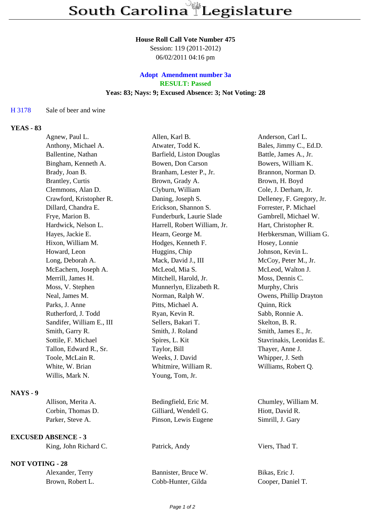## **House Roll Call Vote Number 475**

Session: 119 (2011-2012) 06/02/2011 04:16 pm

## **Adopt Amendment number 3a RESULT: Passed Yeas: 83; Nays: 9; Excused Absence: 3; Not Voting: 28**

## H 3178 Sale of beer and wine

## **YEAS - 83**

|                 | Agnew, Paul L.             | Allen, Karl B.               | Anderson, Carl L.         |
|-----------------|----------------------------|------------------------------|---------------------------|
|                 | Anthony, Michael A.        | Atwater, Todd K.             | Bales, Jimmy C., Ed.D.    |
|                 | Ballentine, Nathan         | Barfield, Liston Douglas     | Battle, James A., Jr.     |
|                 | Bingham, Kenneth A.        | Bowen, Don Carson            | Bowers, William K.        |
|                 | Brady, Joan B.             | Branham, Lester P., Jr.      | Brannon, Norman D.        |
|                 | Brantley, Curtis           | Brown, Grady A.              | Brown, H. Boyd            |
|                 | Clemmons, Alan D.          | Clyburn, William             | Cole, J. Derham, Jr.      |
|                 | Crawford, Kristopher R.    | Daning, Joseph S.            | Delleney, F. Gregory, Jr. |
|                 | Dillard, Chandra E.        | Erickson, Shannon S.         | Forrester, P. Michael     |
|                 | Frye, Marion B.            | Funderburk, Laurie Slade     | Gambrell, Michael W.      |
|                 | Hardwick, Nelson L.        | Harrell, Robert William, Jr. | Hart, Christopher R.      |
|                 | Hayes, Jackie E.           | Hearn, George M.             | Herbkersman, William G.   |
|                 | Hixon, William M.          | Hodges, Kenneth F.           | Hosey, Lonnie             |
|                 | Howard, Leon               | Huggins, Chip                | Johnson, Kevin L.         |
|                 | Long, Deborah A.           | Mack, David J., III          | McCoy, Peter M., Jr.      |
|                 | McEachern, Joseph A.       | McLeod, Mia S.               | McLeod, Walton J.         |
|                 | Merrill, James H.          | Mitchell, Harold, Jr.        | Moss, Dennis C.           |
|                 | Moss, V. Stephen           | Munnerlyn, Elizabeth R.      | Murphy, Chris             |
|                 | Neal, James M.             | Norman, Ralph W.             | Owens, Phillip Drayton    |
|                 | Parks, J. Anne             | Pitts, Michael A.            | Quinn, Rick               |
|                 | Rutherford, J. Todd        | Ryan, Kevin R.               | Sabb, Ronnie A.           |
|                 | Sandifer, William E., III  | Sellers, Bakari T.           | Skelton, B. R.            |
|                 | Smith, Garry R.            | Smith, J. Roland             | Smith, James E., Jr.      |
|                 | Sottile, F. Michael        | Spires, L. Kit               | Stavrinakis, Leonidas E.  |
|                 | Tallon, Edward R., Sr.     | Taylor, Bill                 | Thayer, Anne J.           |
|                 | Toole, McLain R.           | Weeks, J. David              | Whipper, J. Seth          |
|                 | White, W. Brian            | Whitmire, William R.         | Williams, Robert Q.       |
|                 | Willis, Mark N.            | Young, Tom, Jr.              |                           |
| <b>NAYS - 9</b> |                            |                              |                           |
|                 | Allison, Merita A.         | Bedingfield, Eric M.         | Chumley, William M.       |
|                 | Corbin, Thomas D.          | Gilliard, Wendell G.         | Hiott, David R.           |
|                 | Parker, Steve A.           | Pinson, Lewis Eugene         | Simrill, J. Gary          |
|                 | <b>EXCUSED ABSENCE - 3</b> |                              |                           |
|                 | King, John Richard C.      | Patrick, Andy                | Viers, Thad T.            |
|                 | <b>NOT VOTING - 28</b>     |                              |                           |
|                 | Alexander, Terry           | Bannister, Bruce W.          | Bikas, Eric J.            |
|                 | Brown, Robert L.           | Cobb-Hunter, Gilda           | Cooper, Daniel T.         |